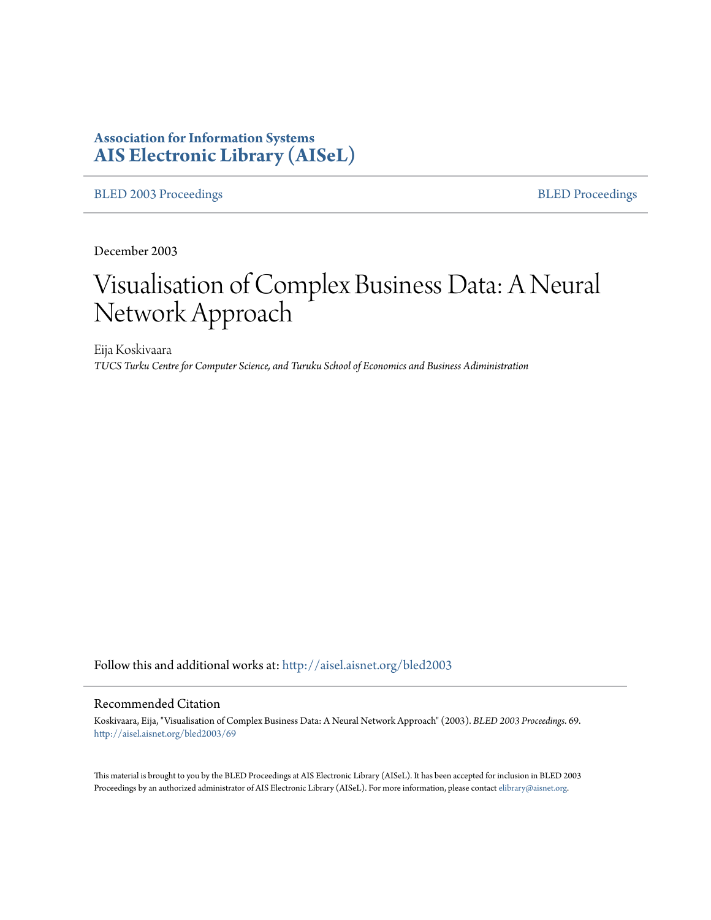# **Association for Information Systems [AIS Electronic Library \(AISeL\)](http://aisel.aisnet.org?utm_source=aisel.aisnet.org%2Fbled2003%2F69&utm_medium=PDF&utm_campaign=PDFCoverPages)**

[BLED 2003 Proceedings](http://aisel.aisnet.org/bled2003?utm_source=aisel.aisnet.org%2Fbled2003%2F69&utm_medium=PDF&utm_campaign=PDFCoverPages) **[BLED Proceedings](http://aisel.aisnet.org/bled?utm_source=aisel.aisnet.org%2Fbled2003%2F69&utm_medium=PDF&utm_campaign=PDFCoverPages)** 

December 2003

# Visualisation of Complex Business Data: A Neural Network Approach

Eija Koskivaara *TUCS Turku Centre for Computer Science, and Turuku School of Economics and Business Adiministration*

Follow this and additional works at: [http://aisel.aisnet.org/bled2003](http://aisel.aisnet.org/bled2003?utm_source=aisel.aisnet.org%2Fbled2003%2F69&utm_medium=PDF&utm_campaign=PDFCoverPages)

#### Recommended Citation

Koskivaara, Eija, "Visualisation of Complex Business Data: A Neural Network Approach" (2003). *BLED 2003 Proceedings*. 69. [http://aisel.aisnet.org/bled2003/69](http://aisel.aisnet.org/bled2003/69?utm_source=aisel.aisnet.org%2Fbled2003%2F69&utm_medium=PDF&utm_campaign=PDFCoverPages)

This material is brought to you by the BLED Proceedings at AIS Electronic Library (AISeL). It has been accepted for inclusion in BLED 2003 Proceedings by an authorized administrator of AIS Electronic Library (AISeL). For more information, please contact [elibrary@aisnet.org](mailto:elibrary@aisnet.org%3E).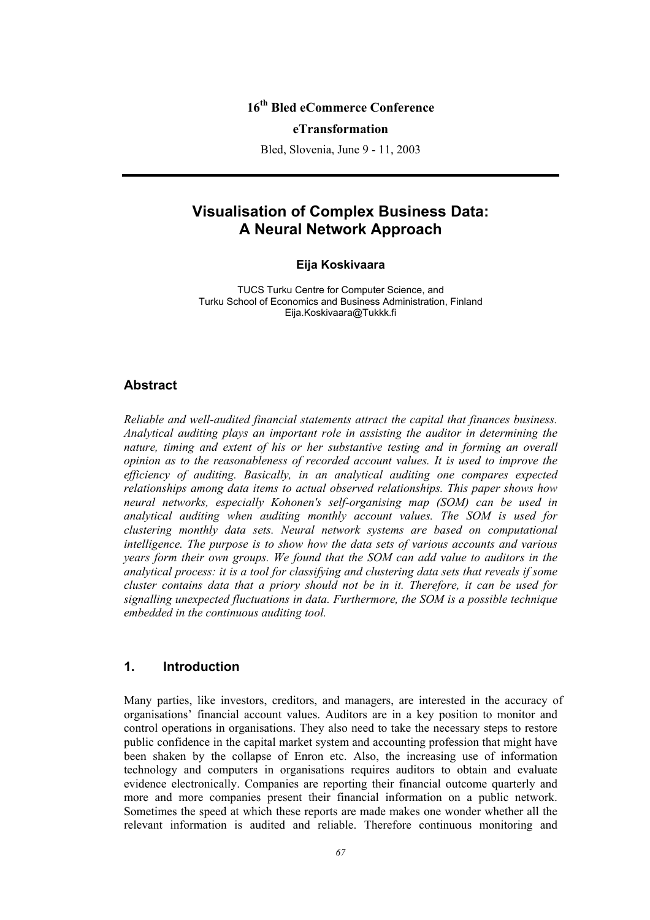# **16th Bled eCommerce Conference**

#### **eTransformation**

Bled, Slovenia, June 9 - 11, 2003

# **Visualisation of Complex Business Data: A Neural Network Approach**

#### **Eija Koskivaara**

TUCS Turku Centre for Computer Science, and Turku School of Economics and Business Administration, Finland Eija.Koskivaara@Tukkk.fi

#### **Abstract**

*Reliable and well-audited financial statements attract the capital that finances business. Analytical auditing plays an important role in assisting the auditor in determining the nature, timing and extent of his or her substantive testing and in forming an overall opinion as to the reasonableness of recorded account values. It is used to improve the efficiency of auditing. Basically, in an analytical auditing one compares expected relationships among data items to actual observed relationships. This paper shows how neural networks, especially Kohonen's self-organising map (SOM) can be used in analytical auditing when auditing monthly account values. The SOM is used for clustering monthly data sets. Neural network systems are based on computational intelligence. The purpose is to show how the data sets of various accounts and various years form their own groups. We found that the SOM can add value to auditors in the analytical process: it is a tool for classifying and clustering data sets that reveals if some cluster contains data that a priory should not be in it. Therefore, it can be used for signalling unexpected fluctuations in data. Furthermore, the SOM is a possible technique embedded in the continuous auditing tool.* 

# **1. Introduction**

Many parties, like investors, creditors, and managers, are interested in the accuracy of organisations' financial account values. Auditors are in a key position to monitor and control operations in organisations. They also need to take the necessary steps to restore public confidence in the capital market system and accounting profession that might have been shaken by the collapse of Enron etc. Also, the increasing use of information technology and computers in organisations requires auditors to obtain and evaluate evidence electronically. Companies are reporting their financial outcome quarterly and more and more companies present their financial information on a public network. Sometimes the speed at which these reports are made makes one wonder whether all the relevant information is audited and reliable. Therefore continuous monitoring and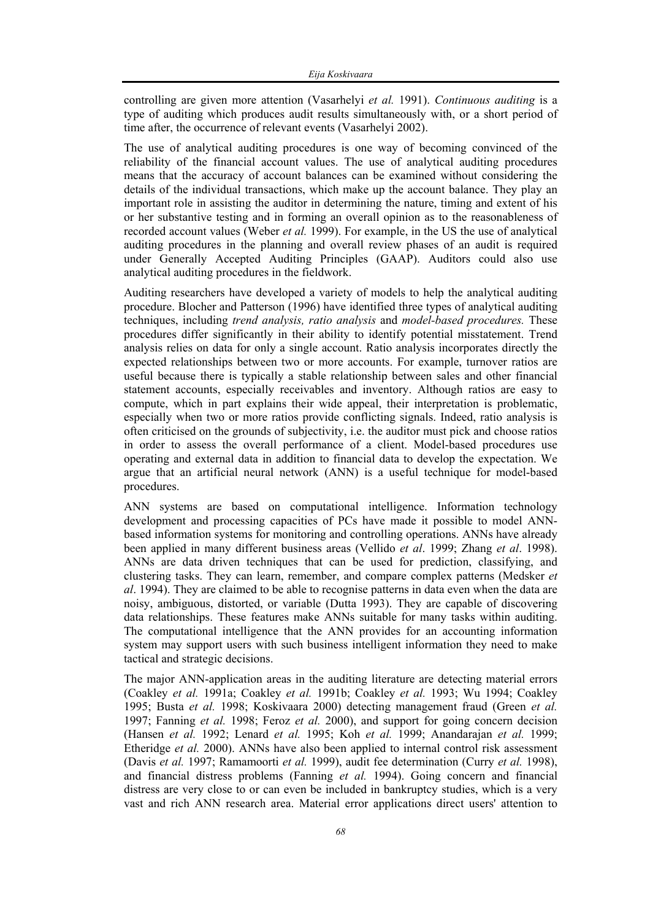controlling are given more attention (Vasarhelyi *et al.* 1991). *Continuous auditing* is a type of auditing which produces audit results simultaneously with, or a short period of time after, the occurrence of relevant events (Vasarhelyi 2002).

The use of analytical auditing procedures is one way of becoming convinced of the reliability of the financial account values. The use of analytical auditing procedures means that the accuracy of account balances can be examined without considering the details of the individual transactions, which make up the account balance. They play an important role in assisting the auditor in determining the nature, timing and extent of his or her substantive testing and in forming an overall opinion as to the reasonableness of recorded account values (Weber *et al.* 1999). For example, in the US the use of analytical auditing procedures in the planning and overall review phases of an audit is required under Generally Accepted Auditing Principles (GAAP). Auditors could also use analytical auditing procedures in the fieldwork.

Auditing researchers have developed a variety of models to help the analytical auditing procedure. Blocher and Patterson (1996) have identified three types of analytical auditing techniques, including *trend analysis, ratio analysis* and *model-based procedures.* These procedures differ significantly in their ability to identify potential misstatement. Trend analysis relies on data for only a single account. Ratio analysis incorporates directly the expected relationships between two or more accounts. For example, turnover ratios are useful because there is typically a stable relationship between sales and other financial statement accounts, especially receivables and inventory. Although ratios are easy to compute, which in part explains their wide appeal, their interpretation is problematic, especially when two or more ratios provide conflicting signals. Indeed, ratio analysis is often criticised on the grounds of subjectivity, i.e. the auditor must pick and choose ratios in order to assess the overall performance of a client. Model-based procedures use operating and external data in addition to financial data to develop the expectation. We argue that an artificial neural network (ANN) is a useful technique for model-based procedures.

ANN systems are based on computational intelligence. Information technology development and processing capacities of PCs have made it possible to model ANNbased information systems for monitoring and controlling operations. ANNs have already been applied in many different business areas (Vellido *et al*. 1999; Zhang *et al*. 1998). ANNs are data driven techniques that can be used for prediction, classifying, and clustering tasks. They can learn, remember, and compare complex patterns (Medsker *et al*. 1994). They are claimed to be able to recognise patterns in data even when the data are noisy, ambiguous, distorted, or variable (Dutta 1993). They are capable of discovering data relationships. These features make ANNs suitable for many tasks within auditing. The computational intelligence that the ANN provides for an accounting information system may support users with such business intelligent information they need to make tactical and strategic decisions.

The major ANN-application areas in the auditing literature are detecting material errors (Coakley *et al.* 1991a; Coakley *et al.* 1991b; Coakley *et al.* 1993; Wu 1994; Coakley 1995; Busta *et al.* 1998; Koskivaara 2000) detecting management fraud (Green *et al.* 1997; Fanning *et al.* 1998; Feroz *et al.* 2000), and support for going concern decision (Hansen *et al.* 1992; Lenard *et al.* 1995; Koh *et al.* 1999; Anandarajan *et al.* 1999; Etheridge *et al.* 2000). ANNs have also been applied to internal control risk assessment (Davis *et al.* 1997; Ramamoorti *et al.* 1999), audit fee determination (Curry *et al.* 1998), and financial distress problems (Fanning *et al.* 1994). Going concern and financial distress are very close to or can even be included in bankruptcy studies, which is a very vast and rich ANN research area. Material error applications direct users' attention to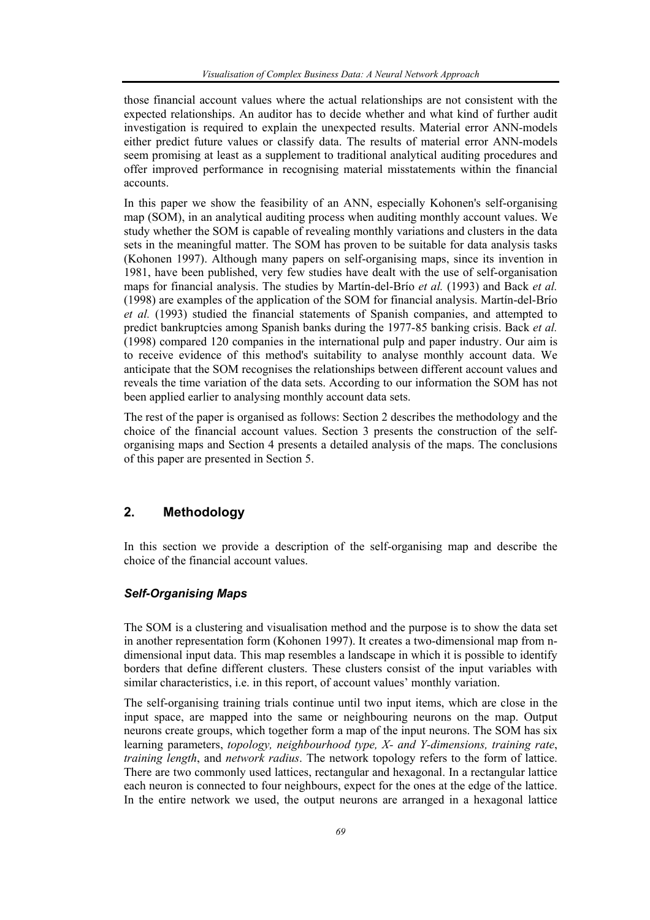those financial account values where the actual relationships are not consistent with the expected relationships. An auditor has to decide whether and what kind of further audit investigation is required to explain the unexpected results. Material error ANN-models either predict future values or classify data. The results of material error ANN-models seem promising at least as a supplement to traditional analytical auditing procedures and offer improved performance in recognising material misstatements within the financial accounts.

In this paper we show the feasibility of an ANN, especially Kohonen's self-organising map (SOM), in an analytical auditing process when auditing monthly account values. We study whether the SOM is capable of revealing monthly variations and clusters in the data sets in the meaningful matter. The SOM has proven to be suitable for data analysis tasks (Kohonen 1997). Although many papers on self-organising maps, since its invention in 1981, have been published, very few studies have dealt with the use of self-organisation maps for financial analysis. The studies by Martín-del-Brío *et al.* (1993) and Back *et al.* (1998) are examples of the application of the SOM for financial analysis. Martín-del-Brío *et al.* (1993) studied the financial statements of Spanish companies, and attempted to predict bankruptcies among Spanish banks during the 1977-85 banking crisis. Back *et al.* (1998) compared 120 companies in the international pulp and paper industry. Our aim is to receive evidence of this method's suitability to analyse monthly account data. We anticipate that the SOM recognises the relationships between different account values and reveals the time variation of the data sets. According to our information the SOM has not been applied earlier to analysing monthly account data sets.

The rest of the paper is organised as follows: Section 2 describes the methodology and the choice of the financial account values. Section 3 presents the construction of the selforganising maps and Section 4 presents a detailed analysis of the maps. The conclusions of this paper are presented in Section 5.

### **2. Methodology**

In this section we provide a description of the self-organising map and describe the choice of the financial account values.

#### *Self-Organising Maps*

The SOM is a clustering and visualisation method and the purpose is to show the data set in another representation form (Kohonen 1997). It creates a two-dimensional map from ndimensional input data. This map resembles a landscape in which it is possible to identify borders that define different clusters. These clusters consist of the input variables with similar characteristics, i.e. in this report, of account values' monthly variation.

The self-organising training trials continue until two input items, which are close in the input space, are mapped into the same or neighbouring neurons on the map. Output neurons create groups, which together form a map of the input neurons. The SOM has six learning parameters, *topology, neighbourhood type, X- and Y-dimensions, training rate*, *training length*, and *network radius*. The network topology refers to the form of lattice. There are two commonly used lattices, rectangular and hexagonal. In a rectangular lattice each neuron is connected to four neighbours, expect for the ones at the edge of the lattice. In the entire network we used, the output neurons are arranged in a hexagonal lattice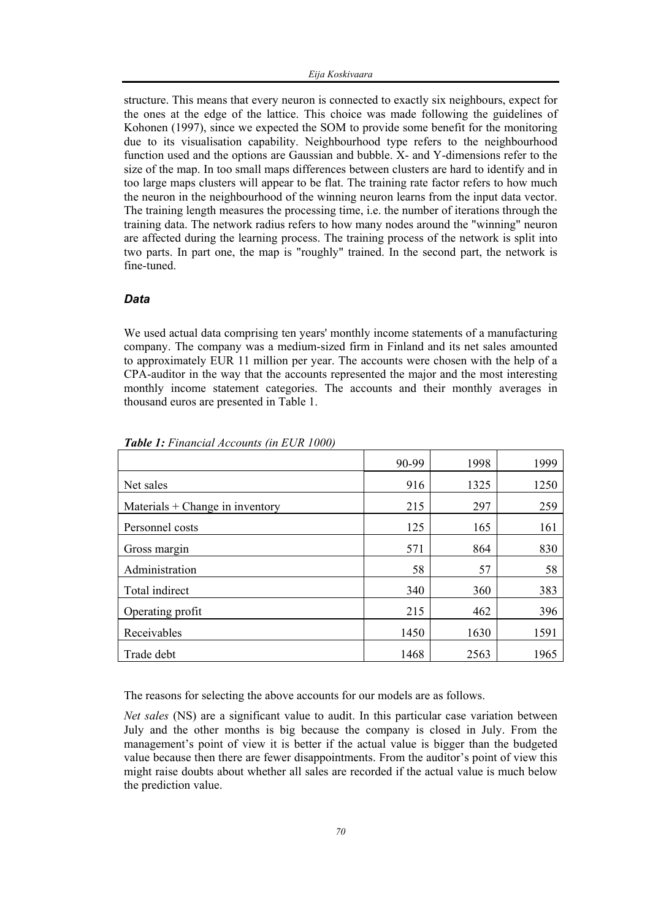structure. This means that every neuron is connected to exactly six neighbours, expect for the ones at the edge of the lattice. This choice was made following the guidelines of Kohonen (1997), since we expected the SOM to provide some benefit for the monitoring due to its visualisation capability. Neighbourhood type refers to the neighbourhood function used and the options are Gaussian and bubble. X- and Y-dimensions refer to the size of the map. In too small maps differences between clusters are hard to identify and in too large maps clusters will appear to be flat. The training rate factor refers to how much the neuron in the neighbourhood of the winning neuron learns from the input data vector. The training length measures the processing time, i.e. the number of iterations through the training data. The network radius refers to how many nodes around the "winning" neuron are affected during the learning process. The training process of the network is split into two parts. In part one, the map is "roughly" trained. In the second part, the network is fine-tuned.

#### *Data*

We used actual data comprising ten years' monthly income statements of a manufacturing company. The company was a medium-sized firm in Finland and its net sales amounted to approximately EUR 11 million per year. The accounts were chosen with the help of a CPA-auditor in the way that the accounts represented the major and the most interesting monthly income statement categories. The accounts and their monthly averages in thousand euros are presented in Table 1.

|                                   | 90-99 | 1998 | 1999 |
|-----------------------------------|-------|------|------|
| Net sales                         | 916   | 1325 | 1250 |
| Materials $+$ Change in inventory | 215   | 297  | 259  |
| Personnel costs                   | 125   | 165  | 161  |
| Gross margin                      | 571   | 864  | 830  |
| Administration                    | 58    | 57   | 58   |
| Total indirect                    | 340   | 360  | 383  |
| Operating profit                  | 215   | 462  | 396  |
| Receivables                       | 1450  | 1630 | 1591 |
| Trade debt                        | 1468  | 2563 | 1965 |

*Table 1: Financial Accounts (in EUR 1000)* 

The reasons for selecting the above accounts for our models are as follows.

*Net sales* (NS) are a significant value to audit. In this particular case variation between July and the other months is big because the company is closed in July. From the management's point of view it is better if the actual value is bigger than the budgeted value because then there are fewer disappointments. From the auditor's point of view this might raise doubts about whether all sales are recorded if the actual value is much below the prediction value.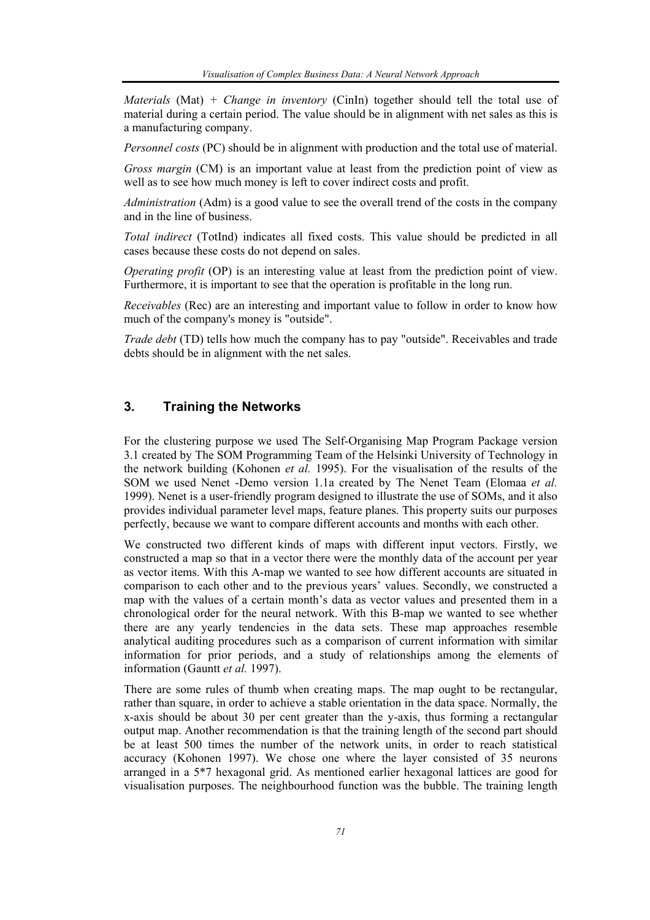*Materials* (Mat) *+ Change in inventory* (CinIn) together should tell the total use of material during a certain period. The value should be in alignment with net sales as this is a manufacturing company.

*Personnel costs* (PC) should be in alignment with production and the total use of material.

*Gross margin* (CM) is an important value at least from the prediction point of view as well as to see how much money is left to cover indirect costs and profit.

*Administration* (Adm) is a good value to see the overall trend of the costs in the company and in the line of business.

*Total indirect* (TotInd) indicates all fixed costs. This value should be predicted in all cases because these costs do not depend on sales.

*Operating profit* (OP) is an interesting value at least from the prediction point of view. Furthermore, it is important to see that the operation is profitable in the long run.

*Receivables* (Rec) are an interesting and important value to follow in order to know how much of the company's money is "outside".

*Trade debt* (TD) tells how much the company has to pay "outside". Receivables and trade debts should be in alignment with the net sales.

# **3. Training the Networks**

For the clustering purpose we used The Self-Organising Map Program Package version 3.1 created by The SOM Programming Team of the Helsinki University of Technology in the network building (Kohonen *et al.* 1995). For the visualisation of the results of the SOM we used Nenet -Demo version 1.1a created by The Nenet Team (Elomaa *et al.* 1999). Nenet is a user-friendly program designed to illustrate the use of SOMs, and it also provides individual parameter level maps, feature planes. This property suits our purposes perfectly, because we want to compare different accounts and months with each other.

We constructed two different kinds of maps with different input vectors. Firstly, we constructed a map so that in a vector there were the monthly data of the account per year as vector items. With this A-map we wanted to see how different accounts are situated in comparison to each other and to the previous years' values. Secondly, we constructed a map with the values of a certain month's data as vector values and presented them in a chronological order for the neural network. With this B-map we wanted to see whether there are any yearly tendencies in the data sets. These map approaches resemble analytical auditing procedures such as a comparison of current information with similar information for prior periods, and a study of relationships among the elements of information (Gauntt *et al.* 1997).

There are some rules of thumb when creating maps. The map ought to be rectangular, rather than square, in order to achieve a stable orientation in the data space. Normally, the x-axis should be about 30 per cent greater than the y-axis, thus forming a rectangular output map. Another recommendation is that the training length of the second part should be at least 500 times the number of the network units, in order to reach statistical accuracy (Kohonen 1997). We chose one where the layer consisted of 35 neurons arranged in a 5\*7 hexagonal grid. As mentioned earlier hexagonal lattices are good for visualisation purposes. The neighbourhood function was the bubble. The training length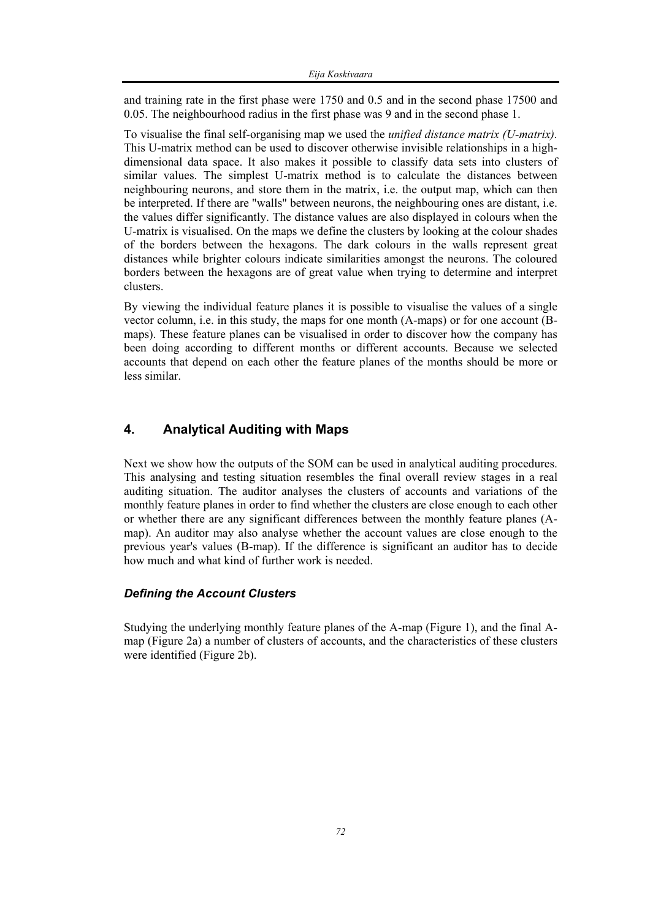and training rate in the first phase were 1750 and 0.5 and in the second phase 17500 and 0.05. The neighbourhood radius in the first phase was 9 and in the second phase 1.

To visualise the final self-organising map we used the *unified distance matrix (U-matrix).* This U-matrix method can be used to discover otherwise invisible relationships in a highdimensional data space. It also makes it possible to classify data sets into clusters of similar values. The simplest U-matrix method is to calculate the distances between neighbouring neurons, and store them in the matrix, i.e. the output map, which can then be interpreted. If there are "walls" between neurons, the neighbouring ones are distant, i.e. the values differ significantly. The distance values are also displayed in colours when the U-matrix is visualised. On the maps we define the clusters by looking at the colour shades of the borders between the hexagons. The dark colours in the walls represent great distances while brighter colours indicate similarities amongst the neurons. The coloured borders between the hexagons are of great value when trying to determine and interpret clusters.

By viewing the individual feature planes it is possible to visualise the values of a single vector column, i.e. in this study, the maps for one month (A-maps) or for one account (Bmaps). These feature planes can be visualised in order to discover how the company has been doing according to different months or different accounts. Because we selected accounts that depend on each other the feature planes of the months should be more or less similar.

# **4. Analytical Auditing with Maps**

Next we show how the outputs of the SOM can be used in analytical auditing procedures. This analysing and testing situation resembles the final overall review stages in a real auditing situation. The auditor analyses the clusters of accounts and variations of the monthly feature planes in order to find whether the clusters are close enough to each other or whether there are any significant differences between the monthly feature planes (Amap). An auditor may also analyse whether the account values are close enough to the previous year's values (B-map). If the difference is significant an auditor has to decide how much and what kind of further work is needed.

#### *Defining the Account Clusters*

Studying the underlying monthly feature planes of the A-map (Figure 1), and the final Amap (Figure 2a) a number of clusters of accounts, and the characteristics of these clusters were identified (Figure 2b).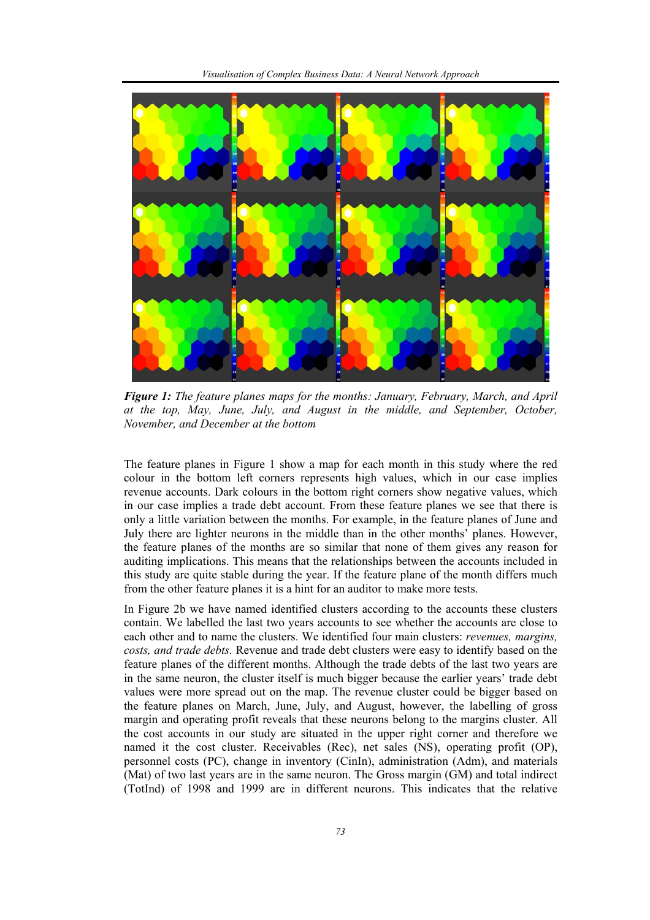

*Figure 1: The feature planes maps for the months: January, February, March, and April at the top, May, June, July, and August in the middle, and September, October, November, and December at the bottom* 

The feature planes in Figure 1 show a map for each month in this study where the red colour in the bottom left corners represents high values, which in our case implies revenue accounts. Dark colours in the bottom right corners show negative values, which in our case implies a trade debt account. From these feature planes we see that there is only a little variation between the months. For example, in the feature planes of June and July there are lighter neurons in the middle than in the other months' planes. However, the feature planes of the months are so similar that none of them gives any reason for auditing implications. This means that the relationships between the accounts included in this study are quite stable during the year. If the feature plane of the month differs much from the other feature planes it is a hint for an auditor to make more tests.

In Figure 2b we have named identified clusters according to the accounts these clusters contain. We labelled the last two years accounts to see whether the accounts are close to each other and to name the clusters. We identified four main clusters: *revenues, margins, costs, and trade debts.* Revenue and trade debt clusters were easy to identify based on the feature planes of the different months. Although the trade debts of the last two years are in the same neuron, the cluster itself is much bigger because the earlier years' trade debt values were more spread out on the map. The revenue cluster could be bigger based on the feature planes on March, June, July, and August, however, the labelling of gross margin and operating profit reveals that these neurons belong to the margins cluster. All the cost accounts in our study are situated in the upper right corner and therefore we named it the cost cluster. Receivables (Rec), net sales (NS), operating profit (OP), personnel costs (PC), change in inventory (CinIn), administration (Adm), and materials (Mat) of two last years are in the same neuron. The Gross margin (GM) and total indirect (TotInd) of 1998 and 1999 are in different neurons. This indicates that the relative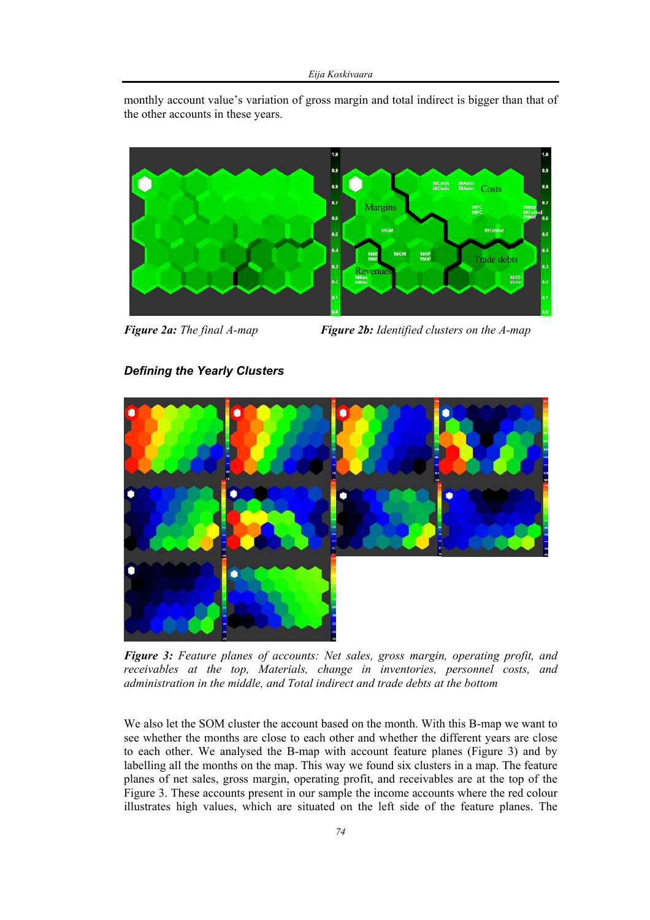monthly account value's variation of gross margin and total indirect is bigger than that of the other accounts in these years.



*Figure 2a: The final A-map Figure 2b: Identified clusters on the A-map* 

# *Defining the Yearly Clusters*



*Figure 3: Feature planes of accounts: Net sales, gross margin, operating profit, and receivables at the top, Materials, change in inventories, personnel costs, and administration in the middle, and Total indirect and trade debts at the bottom* 

We also let the SOM cluster the account based on the month. With this B-map we want to see whether the months are close to each other and whether the different years are close to each other. We analysed the B-map with account feature planes (Figure 3) and by labelling all the months on the map. This way we found six clusters in a map. The feature planes of net sales, gross margin, operating profit, and receivables are at the top of the Figure 3. These accounts present in our sample the income accounts where the red colour illustrates high values, which are situated on the left side of the feature planes. The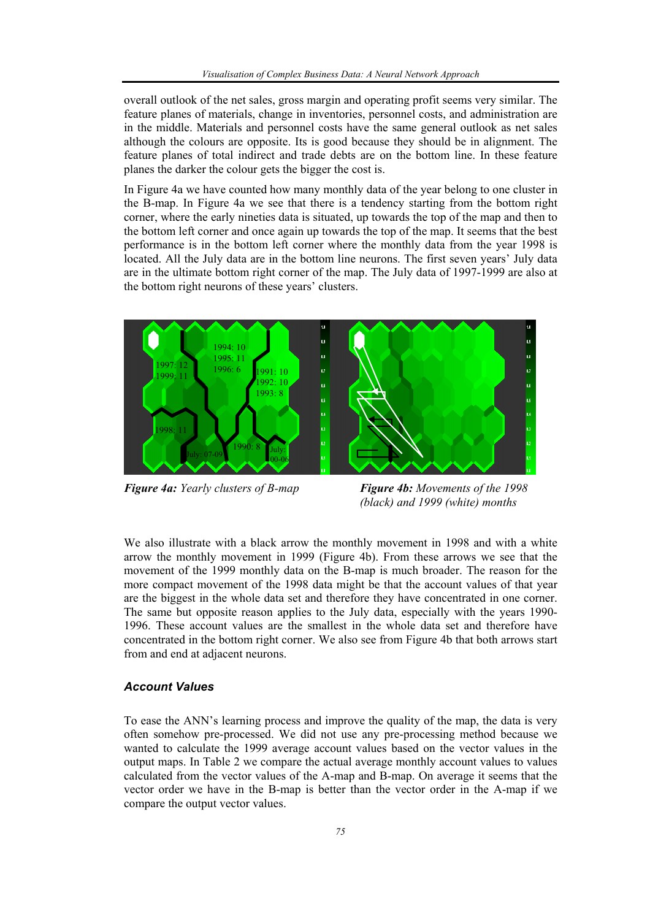overall outlook of the net sales, gross margin and operating profit seems very similar. The feature planes of materials, change in inventories, personnel costs, and administration are in the middle. Materials and personnel costs have the same general outlook as net sales although the colours are opposite. Its is good because they should be in alignment. The feature planes of total indirect and trade debts are on the bottom line. In these feature planes the darker the colour gets the bigger the cost is.

In Figure 4a we have counted how many monthly data of the year belong to one cluster in the B-map. In Figure 4a we see that there is a tendency starting from the bottom right corner, where the early nineties data is situated, up towards the top of the map and then to the bottom left corner and once again up towards the top of the map. It seems that the best performance is in the bottom left corner where the monthly data from the year 1998 is located. All the July data are in the bottom line neurons. The first seven years' July data are in the ultimate bottom right corner of the map. The July data of 1997-1999 are also at the bottom right neurons of these years' clusters.



*Figure 4a: Yearly clusters of B-map Figure 4b: Movements of the 1998 (black) and 1999 (white) months* 

We also illustrate with a black arrow the monthly movement in 1998 and with a white arrow the monthly movement in 1999 (Figure 4b). From these arrows we see that the movement of the 1999 monthly data on the B-map is much broader. The reason for the more compact movement of the 1998 data might be that the account values of that year are the biggest in the whole data set and therefore they have concentrated in one corner. The same but opposite reason applies to the July data, especially with the years 1990- 1996. These account values are the smallest in the whole data set and therefore have concentrated in the bottom right corner. We also see from Figure 4b that both arrows start from and end at adjacent neurons.

#### *Account Values*

To ease the ANN's learning process and improve the quality of the map, the data is very often somehow pre-processed. We did not use any pre-processing method because we wanted to calculate the 1999 average account values based on the vector values in the output maps. In Table 2 we compare the actual average monthly account values to values calculated from the vector values of the A-map and B-map. On average it seems that the vector order we have in the B-map is better than the vector order in the A-map if we compare the output vector values.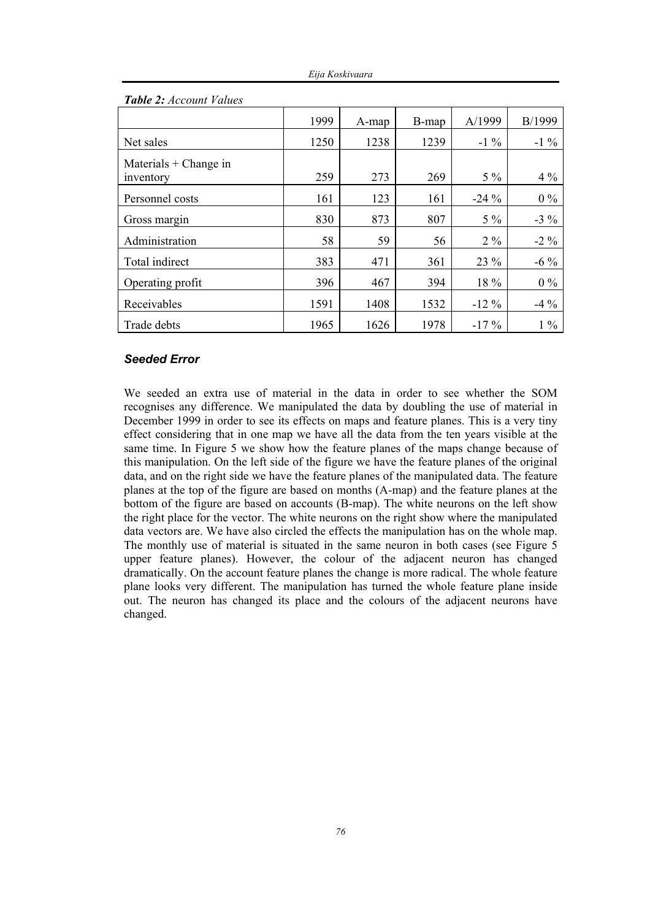|                                      | 1999 | A-map | B-map | A/1999  | B/1999 |
|--------------------------------------|------|-------|-------|---------|--------|
| Net sales                            | 1250 | 1238  | 1239  | $-1\%$  | $-1\%$ |
| Materials $+$ Change in<br>inventory | 259  | 273   | 269   | $5\%$   | $4\%$  |
| Personnel costs                      | 161  | 123   | 161   | $-24\%$ | $0\%$  |
| Gross margin                         | 830  | 873   | 807   | $5\%$   | $-3\%$ |
| Administration                       | 58   | 59    | 56    | $2\%$   | $-2\%$ |
| Total indirect                       | 383  | 471   | 361   | 23 %    | $-6\%$ |
| Operating profit                     | 396  | 467   | 394   | 18 %    | $0\%$  |
| Receivables                          | 1591 | 1408  | 1532  | $-12\%$ | $-4\%$ |
| Trade debts                          | 1965 | 1626  | 1978  | $-17%$  | $1\%$  |

#### *Table 2: Account Values*

#### *Seeded Error*

We seeded an extra use of material in the data in order to see whether the SOM recognises any difference. We manipulated the data by doubling the use of material in December 1999 in order to see its effects on maps and feature planes. This is a very tiny effect considering that in one map we have all the data from the ten years visible at the same time. In Figure 5 we show how the feature planes of the maps change because of this manipulation. On the left side of the figure we have the feature planes of the original data, and on the right side we have the feature planes of the manipulated data. The feature planes at the top of the figure are based on months (A-map) and the feature planes at the bottom of the figure are based on accounts (B-map). The white neurons on the left show the right place for the vector. The white neurons on the right show where the manipulated data vectors are. We have also circled the effects the manipulation has on the whole map. The monthly use of material is situated in the same neuron in both cases (see Figure 5 upper feature planes). However, the colour of the adjacent neuron has changed dramatically. On the account feature planes the change is more radical. The whole feature plane looks very different. The manipulation has turned the whole feature plane inside out. The neuron has changed its place and the colours of the adjacent neurons have changed.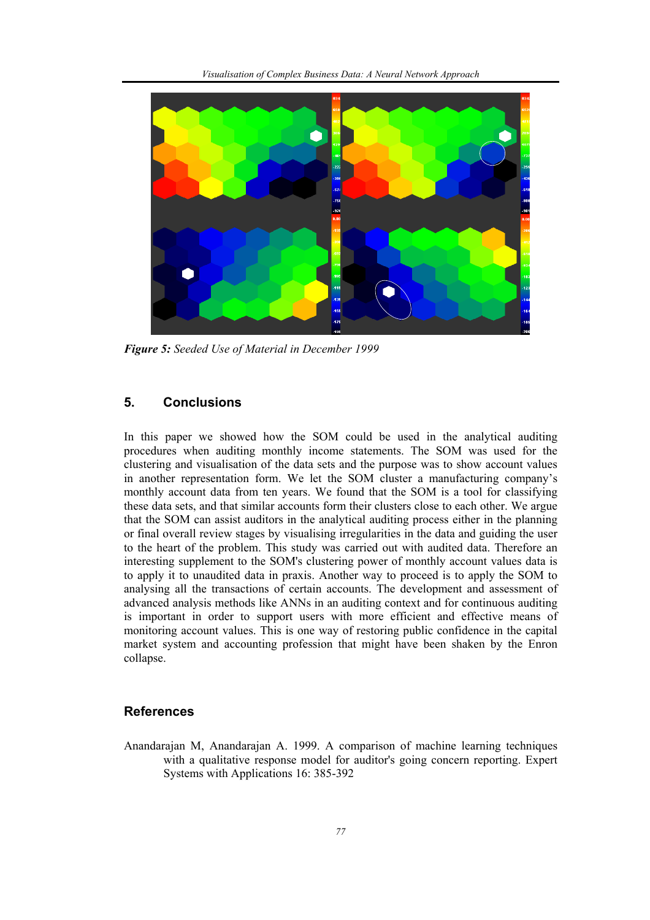

*Figure 5: Seeded Use of Material in December 1999* 

# **5. Conclusions**

In this paper we showed how the SOM could be used in the analytical auditing procedures when auditing monthly income statements. The SOM was used for the clustering and visualisation of the data sets and the purpose was to show account values in another representation form. We let the SOM cluster a manufacturing company's monthly account data from ten years. We found that the SOM is a tool for classifying these data sets, and that similar accounts form their clusters close to each other. We argue that the SOM can assist auditors in the analytical auditing process either in the planning or final overall review stages by visualising irregularities in the data and guiding the user to the heart of the problem. This study was carried out with audited data. Therefore an interesting supplement to the SOM's clustering power of monthly account values data is to apply it to unaudited data in praxis. Another way to proceed is to apply the SOM to analysing all the transactions of certain accounts. The development and assessment of advanced analysis methods like ANNs in an auditing context and for continuous auditing is important in order to support users with more efficient and effective means of monitoring account values. This is one way of restoring public confidence in the capital market system and accounting profession that might have been shaken by the Enron collapse.

#### **References**

Anandarajan M, Anandarajan A. 1999. A comparison of machine learning techniques with a qualitative response model for auditor's going concern reporting. Expert Systems with Applications 16: 385-392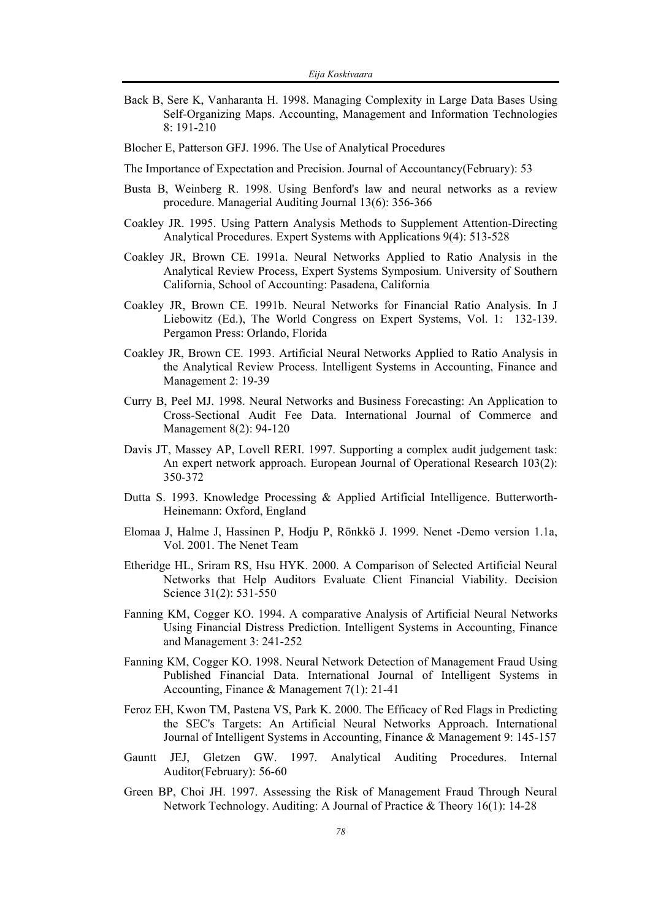- Back B, Sere K, Vanharanta H. 1998. Managing Complexity in Large Data Bases Using Self-Organizing Maps. Accounting, Management and Information Technologies 8: 191-210
- Blocher E, Patterson GFJ. 1996. The Use of Analytical Procedures
- The Importance of Expectation and Precision. Journal of Accountancy(February): 53
- Busta B, Weinberg R. 1998. Using Benford's law and neural networks as a review procedure. Managerial Auditing Journal 13(6): 356-366
- Coakley JR. 1995. Using Pattern Analysis Methods to Supplement Attention-Directing Analytical Procedures. Expert Systems with Applications 9(4): 513-528
- Coakley JR, Brown CE. 1991a. Neural Networks Applied to Ratio Analysis in the Analytical Review Process, Expert Systems Symposium. University of Southern California, School of Accounting: Pasadena, California
- Coakley JR, Brown CE. 1991b. Neural Networks for Financial Ratio Analysis. In J Liebowitz (Ed.), The World Congress on Expert Systems, Vol. 1: 132-139. Pergamon Press: Orlando, Florida
- Coakley JR, Brown CE. 1993. Artificial Neural Networks Applied to Ratio Analysis in the Analytical Review Process. Intelligent Systems in Accounting, Finance and Management 2: 19-39
- Curry B, Peel MJ. 1998. Neural Networks and Business Forecasting: An Application to Cross-Sectional Audit Fee Data. International Journal of Commerce and Management 8(2): 94-120
- Davis JT, Massey AP, Lovell RERI. 1997. Supporting a complex audit judgement task: An expert network approach. European Journal of Operational Research 103(2): 350-372
- Dutta S. 1993. Knowledge Processing & Applied Artificial Intelligence. Butterworth-Heinemann: Oxford, England
- Elomaa J, Halme J, Hassinen P, Hodju P, Rönkkö J. 1999. Nenet -Demo version 1.1a, Vol. 2001. The Nenet Team
- Etheridge HL, Sriram RS, Hsu HYK. 2000. A Comparison of Selected Artificial Neural Networks that Help Auditors Evaluate Client Financial Viability. Decision Science 31(2): 531-550
- Fanning KM, Cogger KO. 1994. A comparative Analysis of Artificial Neural Networks Using Financial Distress Prediction. Intelligent Systems in Accounting, Finance and Management 3: 241-252
- Fanning KM, Cogger KO. 1998. Neural Network Detection of Management Fraud Using Published Financial Data. International Journal of Intelligent Systems in Accounting, Finance & Management 7(1): 21-41
- Feroz EH, Kwon TM, Pastena VS, Park K. 2000. The Efficacy of Red Flags in Predicting the SEC's Targets: An Artificial Neural Networks Approach. International Journal of Intelligent Systems in Accounting, Finance & Management 9: 145-157
- Gauntt JEJ, Gletzen GW. 1997. Analytical Auditing Procedures. Internal Auditor(February): 56-60
- Green BP, Choi JH. 1997. Assessing the Risk of Management Fraud Through Neural Network Technology. Auditing: A Journal of Practice & Theory 16(1): 14-28